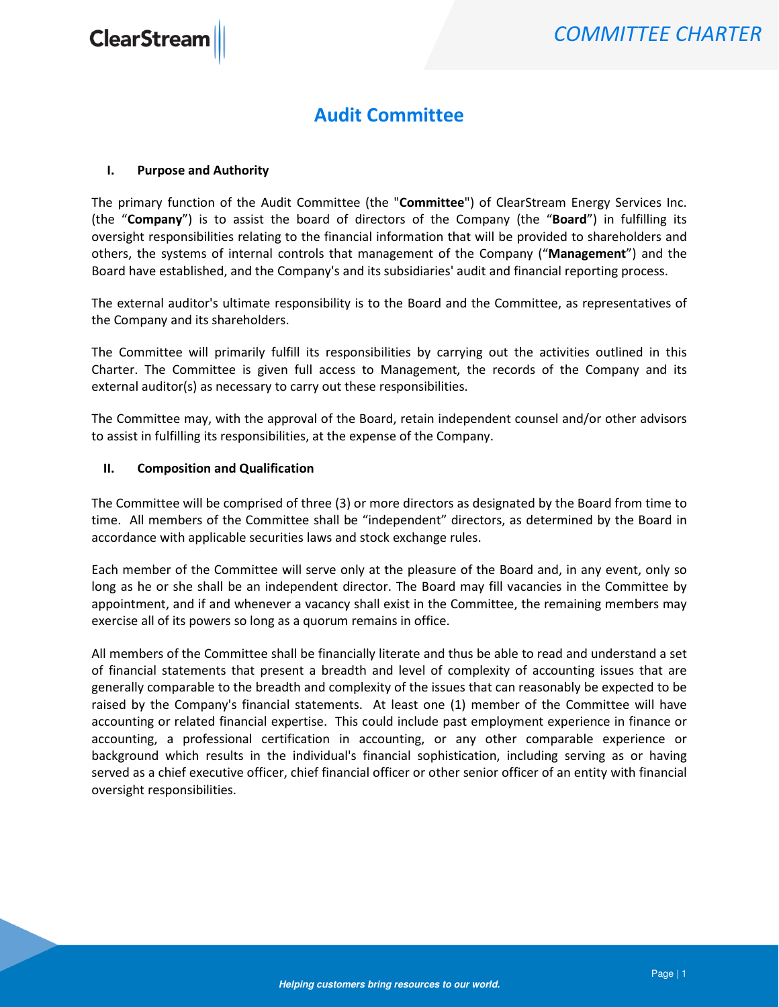### Audit Committee

#### I. Purpose and Authority

The primary function of the Audit Committee (the "Committee") of ClearStream Energy Services Inc. (the "Company") is to assist the board of directors of the Company (the "Board") in fulfilling its oversight responsibilities relating to the financial information that will be provided to shareholders and others, the systems of internal controls that management of the Company ("Management") and the Board have established, and the Company's and its subsidiaries' audit and financial reporting process.

The external auditor's ultimate responsibility is to the Board and the Committee, as representatives of the Company and its shareholders.

The Committee will primarily fulfill its responsibilities by carrying out the activities outlined in this Charter. The Committee is given full access to Management, the records of the Company and its external auditor(s) as necessary to carry out these responsibilities.

The Committee may, with the approval of the Board, retain independent counsel and/or other advisors to assist in fulfilling its responsibilities, at the expense of the Company.

#### II. Composition and Qualification

The Committee will be comprised of three (3) or more directors as designated by the Board from time to time. All members of the Committee shall be "independent" directors, as determined by the Board in accordance with applicable securities laws and stock exchange rules.

Each member of the Committee will serve only at the pleasure of the Board and, in any event, only so long as he or she shall be an independent director. The Board may fill vacancies in the Committee by appointment, and if and whenever a vacancy shall exist in the Committee, the remaining members may exercise all of its powers so long as a quorum remains in office.

All members of the Committee shall be financially literate and thus be able to read and understand a set of financial statements that present a breadth and level of complexity of accounting issues that are generally comparable to the breadth and complexity of the issues that can reasonably be expected to be raised by the Company's financial statements. At least one (1) member of the Committee will have accounting or related financial expertise. This could include past employment experience in finance or accounting, a professional certification in accounting, or any other comparable experience or background which results in the individual's financial sophistication, including serving as or having served as a chief executive officer, chief financial officer or other senior officer of an entity with financial oversight responsibilities.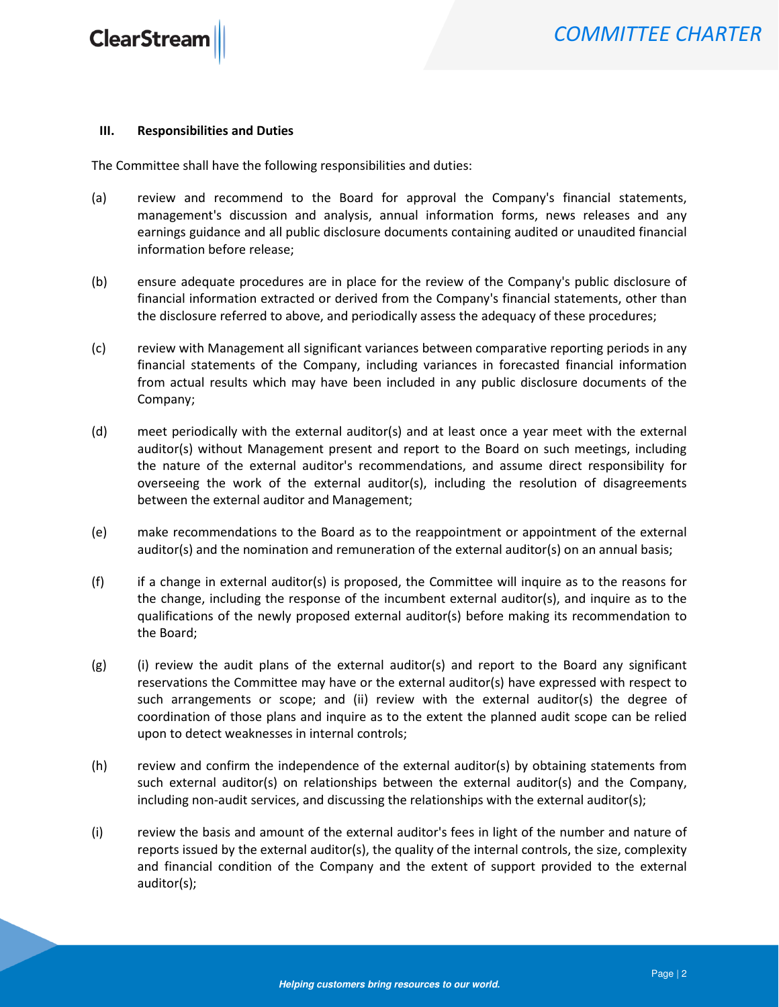**ClearStream** 

#### III. Responsibilities and Duties

The Committee shall have the following responsibilities and duties:

- (a) review and recommend to the Board for approval the Company's financial statements, management's discussion and analysis, annual information forms, news releases and any earnings guidance and all public disclosure documents containing audited or unaudited financial information before release;
- (b) ensure adequate procedures are in place for the review of the Company's public disclosure of financial information extracted or derived from the Company's financial statements, other than the disclosure referred to above, and periodically assess the adequacy of these procedures;
- (c) review with Management all significant variances between comparative reporting periods in any financial statements of the Company, including variances in forecasted financial information from actual results which may have been included in any public disclosure documents of the Company;
- (d) meet periodically with the external auditor(s) and at least once a year meet with the external auditor(s) without Management present and report to the Board on such meetings, including the nature of the external auditor's recommendations, and assume direct responsibility for overseeing the work of the external auditor(s), including the resolution of disagreements between the external auditor and Management;
- (e) make recommendations to the Board as to the reappointment or appointment of the external auditor(s) and the nomination and remuneration of the external auditor(s) on an annual basis;
- (f) if a change in external auditor(s) is proposed, the Committee will inquire as to the reasons for the change, including the response of the incumbent external auditor(s), and inquire as to the qualifications of the newly proposed external auditor(s) before making its recommendation to the Board;
- $(g)$  (i) review the audit plans of the external auditor(s) and report to the Board any significant reservations the Committee may have or the external auditor(s) have expressed with respect to such arrangements or scope; and (ii) review with the external auditor(s) the degree of coordination of those plans and inquire as to the extent the planned audit scope can be relied upon to detect weaknesses in internal controls;
- (h) review and confirm the independence of the external auditor(s) by obtaining statements from such external auditor(s) on relationships between the external auditor(s) and the Company, including non-audit services, and discussing the relationships with the external auditor(s);
- (i) review the basis and amount of the external auditor's fees in light of the number and nature of reports issued by the external auditor(s), the quality of the internal controls, the size, complexity and financial condition of the Company and the extent of support provided to the external auditor(s);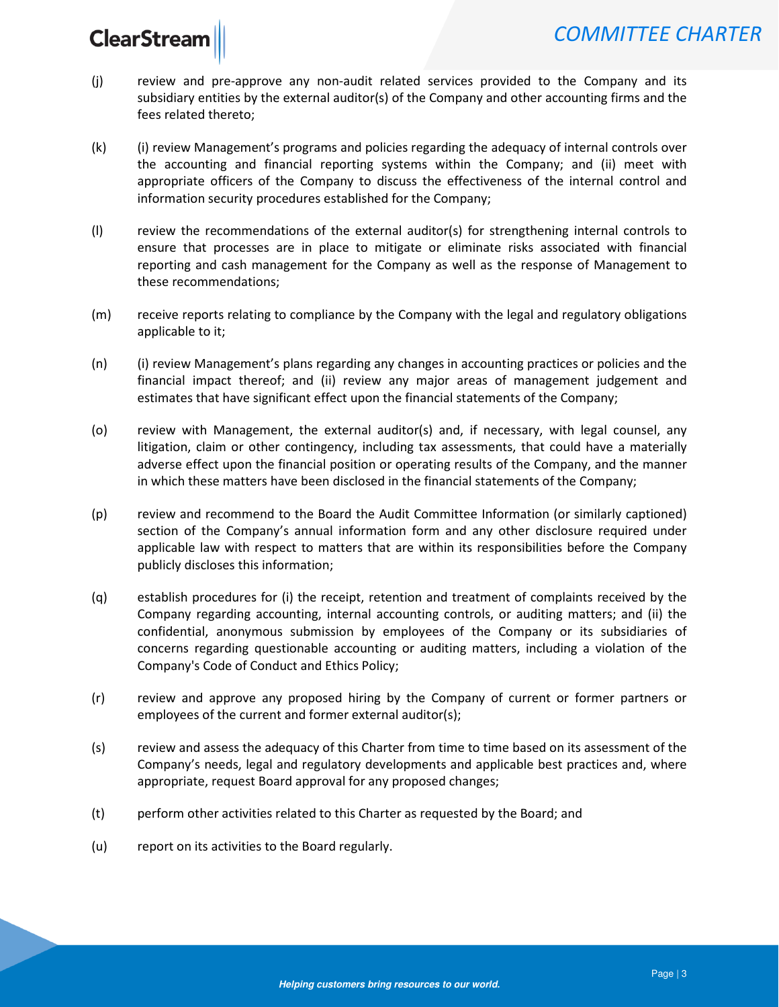# **ClearStrear**

- (j) review and pre-approve any non-audit related services provided to the Company and its subsidiary entities by the external auditor(s) of the Company and other accounting firms and the fees related thereto;
- (k) (i) review Management's programs and policies regarding the adequacy of internal controls over the accounting and financial reporting systems within the Company; and (ii) meet with appropriate officers of the Company to discuss the effectiveness of the internal control and information security procedures established for the Company;
- (l) review the recommendations of the external auditor(s) for strengthening internal controls to ensure that processes are in place to mitigate or eliminate risks associated with financial reporting and cash management for the Company as well as the response of Management to these recommendations;
- (m) receive reports relating to compliance by the Company with the legal and regulatory obligations applicable to it;
- (n) (i) review Management's plans regarding any changes in accounting practices or policies and the financial impact thereof; and (ii) review any major areas of management judgement and estimates that have significant effect upon the financial statements of the Company;
- (o) review with Management, the external auditor(s) and, if necessary, with legal counsel, any litigation, claim or other contingency, including tax assessments, that could have a materially adverse effect upon the financial position or operating results of the Company, and the manner in which these matters have been disclosed in the financial statements of the Company;
- (p) review and recommend to the Board the Audit Committee Information (or similarly captioned) section of the Company's annual information form and any other disclosure required under applicable law with respect to matters that are within its responsibilities before the Company publicly discloses this information;
- (q) establish procedures for (i) the receipt, retention and treatment of complaints received by the Company regarding accounting, internal accounting controls, or auditing matters; and (ii) the confidential, anonymous submission by employees of the Company or its subsidiaries of concerns regarding questionable accounting or auditing matters, including a violation of the Company's Code of Conduct and Ethics Policy;
- (r) review and approve any proposed hiring by the Company of current or former partners or employees of the current and former external auditor(s);
- (s) review and assess the adequacy of this Charter from time to time based on its assessment of the Company's needs, legal and regulatory developments and applicable best practices and, where appropriate, request Board approval for any proposed changes;
- (t) perform other activities related to this Charter as requested by the Board; and
- (u) report on its activities to the Board regularly.